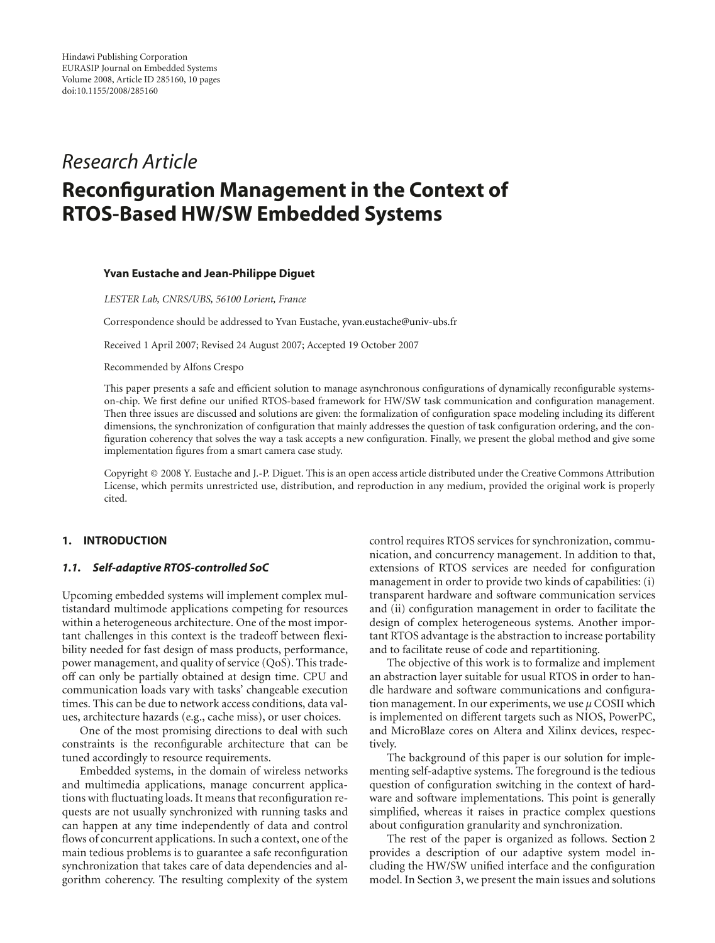## *Research Article*

# **Reconfiguration Management in the Context of RTOS-Based HW/SW Embedded Systems**

#### **Yvan Eustache and Jean-Philippe Diguet**

*LESTER Lab, CNRS/UBS, 56100 Lorient, France*

Correspondence should be addressed to Yvan Eustache, yvan.eustache@univ-ubs.fr

Received 1 April 2007; Revised 24 August 2007; Accepted 19 October 2007

Recommended by Alfons Crespo

This paper presents a safe and efficient solution to manage asynchronous configurations of dynamically reconfigurable systemson-chip. We first define our unified RTOS-based framework for HW/SW task communication and configuration management. Then three issues are discussed and solutions are given: the formalization of configuration space modeling including its different dimensions, the synchronization of configuration that mainly addresses the question of task configuration ordering, and the configuration coherency that solves the way a task accepts a new configuration. Finally, we present the global method and give some implementation figures from a smart camera case study.

Copyright © 2008 Y. Eustache and J.-P. Diguet. This is an open access article distributed under the Creative Commons Attribution License, which permits unrestricted use, distribution, and reproduction in any medium, provided the original work is properly cited.

#### **1. INTRODUCTION**

## *1.1. Self-adaptive RTOS-controlled SoC*

Upcoming embedded systems will implement complex multistandard multimode applications competing for resources within a heterogeneous architecture. One of the most important challenges in this context is the tradeoff between flexibility needed for fast design of mass products, performance, power management, and quality of service (QoS). This tradeoff can only be partially obtained at design time. CPU and communication loads vary with tasks' changeable execution times. This can be due to network access conditions, data values, architecture hazards (e.g., cache miss), or user choices.

One of the most promising directions to deal with such constraints is the reconfigurable architecture that can be tuned accordingly to resource requirements.

Embedded systems, in the domain of wireless networks and multimedia applications, manage concurrent applications with fluctuating loads. It means that reconfiguration requests are not usually synchronized with running tasks and can happen at any time independently of data and control flows of concurrent applications. In such a context, one of the main tedious problems is to guarantee a safe reconfiguration synchronization that takes care of data dependencies and algorithm coherency. The resulting complexity of the system

control requires RTOS services for synchronization, communication, and concurrency management. In addition to that, extensions of RTOS services are needed for configuration management in order to provide two kinds of capabilities: (i) transparent hardware and software communication services and (ii) configuration management in order to facilitate the design of complex heterogeneous systems. Another important RTOS advantage is the abstraction to increase portability and to facilitate reuse of code and repartitioning.

The objective of this work is to formalize and implement an abstraction layer suitable for usual RTOS in order to handle hardware and software communications and configuration management. In our experiments, we use *μ* COSII which is implemented on different targets such as NIOS, PowerPC, and MicroBlaze cores on Altera and Xilinx devices, respectively.

The background of this paper is our solution for implementing self-adaptive systems. The foreground is the tedious question of configuration switching in the context of hardware and software implementations. This point is generally simplified, whereas it raises in practice complex questions about configuration granularity and synchronization.

The rest of the paper is organized as follows. Section 2 provides a description of our adaptive system model including the HW/SW unified interface and the configuration model. In Section 3, we present the main issues and solutions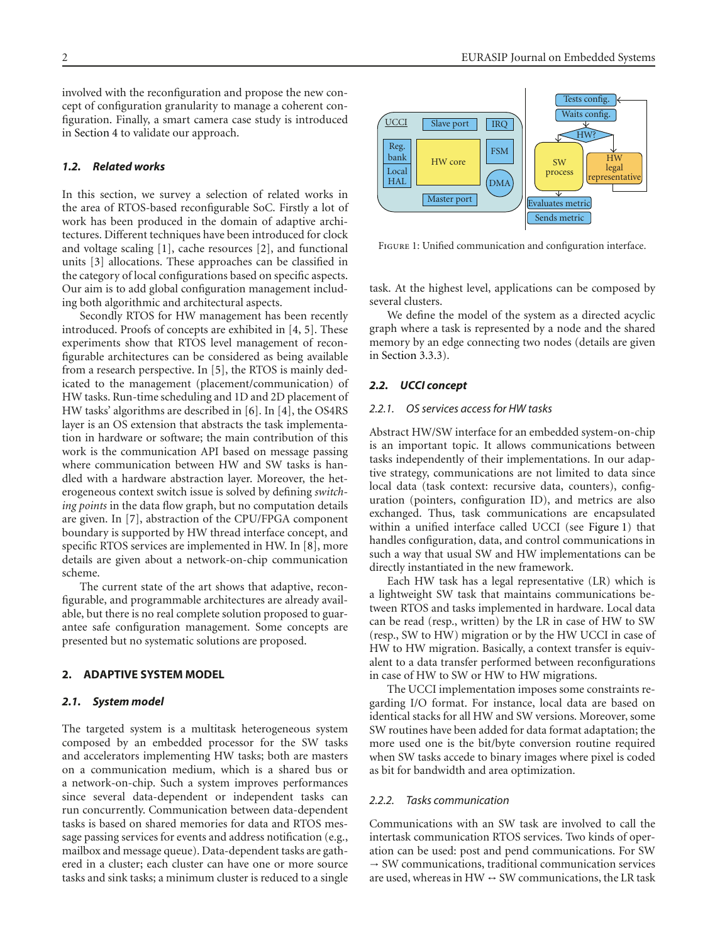involved with the reconfiguration and propose the new concept of configuration granularity to manage a coherent configuration. Finally, a smart camera case study is introduced in Section 4 to validate our approach.

## *1.2. Related works*

In this section, we survey a selection of related works in the area of RTOS-based reconfigurable SoC. Firstly a lot of work has been produced in the domain of adaptive architectures. Different techniques have been introduced for clock and voltage scaling [1], cache resources [2], and functional units [3] allocations. These approaches can be classified in the category of local configurations based on specific aspects. Our aim is to add global configuration management including both algorithmic and architectural aspects.

Secondly RTOS for HW management has been recently introduced. Proofs of concepts are exhibited in [4, 5]. These experiments show that RTOS level management of reconfigurable architectures can be considered as being available from a research perspective. In [5], the RTOS is mainly dedicated to the management (placement/communication) of HW tasks. Run-time scheduling and 1D and 2D placement of HW tasks' algorithms are described in [6]. In [4], the OS4RS layer is an OS extension that abstracts the task implementation in hardware or software; the main contribution of this work is the communication API based on message passing where communication between HW and SW tasks is handled with a hardware abstraction layer. Moreover, the heterogeneous context switch issue is solved by defining *switching points* in the data flow graph, but no computation details are given. In [7], abstraction of the CPU/FPGA component boundary is supported by HW thread interface concept, and specific RTOS services are implemented in HW. In [8], more details are given about a network-on-chip communication scheme.

The current state of the art shows that adaptive, reconfigurable, and programmable architectures are already available, but there is no real complete solution proposed to guarantee safe configuration management. Some concepts are presented but no systematic solutions are proposed.

## **2. ADAPTIVE SYSTEM MODEL**

#### *2.1. System model*

The targeted system is a multitask heterogeneous system composed by an embedded processor for the SW tasks and accelerators implementing HW tasks; both are masters on a communication medium, which is a shared bus or a network-on-chip. Such a system improves performances since several data-dependent or independent tasks can run concurrently. Communication between data-dependent tasks is based on shared memories for data and RTOS message passing services for events and address notification (e.g., mailbox and message queue). Data-dependent tasks are gathered in a cluster; each cluster can have one or more source tasks and sink tasks; a minimum cluster is reduced to a single



Figure 1: Unified communication and configuration interface.

task. At the highest level, applications can be composed by several clusters.

We define the model of the system as a directed acyclic graph where a task is represented by a node and the shared memory by an edge connecting two nodes (details are given in Section 3.3.3).

## *2.2. UCCI concept*

#### *2.2.1. OS services access for HW tasks*

Abstract HW/SW interface for an embedded system-on-chip is an important topic. It allows communications between tasks independently of their implementations. In our adaptive strategy, communications are not limited to data since local data (task context: recursive data, counters), configuration (pointers, configuration ID), and metrics are also exchanged. Thus, task communications are encapsulated within a unified interface called UCCI (see Figure 1) that handles configuration, data, and control communications in such a way that usual SW and HW implementations can be directly instantiated in the new framework.

Each HW task has a legal representative (LR) which is a lightweight SW task that maintains communications between RTOS and tasks implemented in hardware. Local data can be read (resp., written) by the LR in case of HW to SW (resp., SW to HW) migration or by the HW UCCI in case of HW to HW migration. Basically, a context transfer is equivalent to a data transfer performed between reconfigurations in case of HW to SW or HW to HW migrations.

The UCCI implementation imposes some constraints regarding I/O format. For instance, local data are based on identical stacks for all HW and SW versions. Moreover, some SW routines have been added for data format adaptation; the more used one is the bit/byte conversion routine required when SW tasks accede to binary images where pixel is coded as bit for bandwidth and area optimization.

#### *2.2.2. Tasks communication*

Communications with an SW task are involved to call the intertask communication RTOS services. Two kinds of operation can be used: post and pend communications. For SW  $\rightarrow$  SW communications, traditional communication services are used, whereas in  $HW \leftrightarrow SW$  communications, the LR task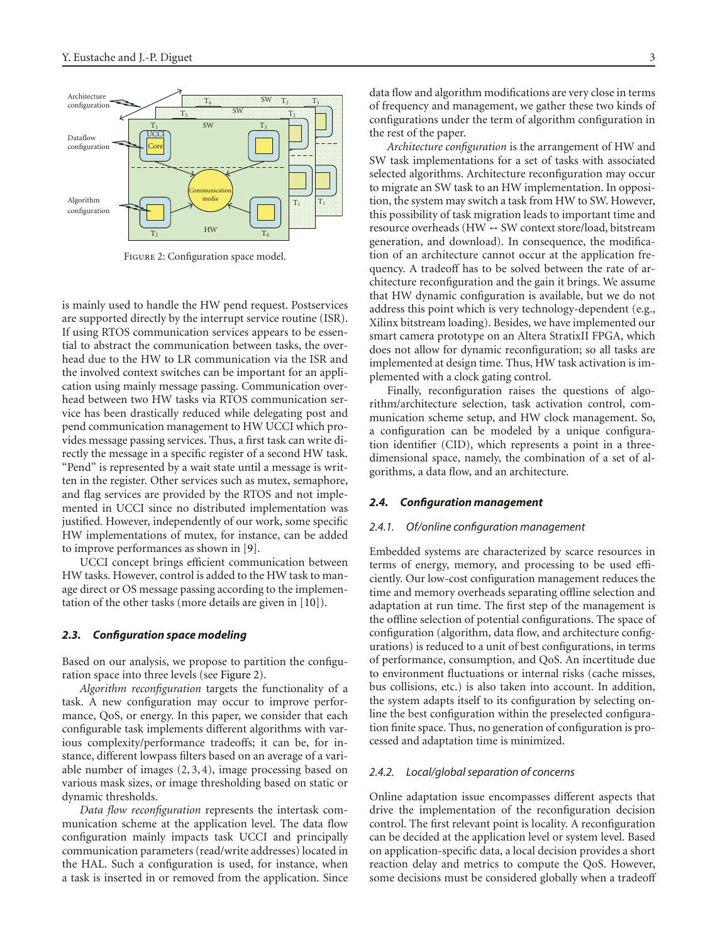

FIGURE 2: Configuration space model.

is mainly used to handle the HW pend request. Postservices are supported directly by the interrupt service routine (ISR). If using RTOS communication services appears to be essential to abstract the communication between tasks, the overhead due to the HW to LR communication via the ISR and the involved context switches can be important for an application using mainly message passing. Communication overhead between two HW tasks via RTOS communication service has been drastically reduced while delegating post and pend communication management to HW UCCI which provides message passing services. Thus, a first task can write directly the message in a specific register of a second HW task. "Pend" is represented by a wait state until a message is written in the register. Other services such as mutex, semaphore, and flag services are provided by the RTOS and not implemented in UCCI since no distributed implementation was justified. However, independently of our work, some specific HW implementations of mutex, for instance, can be added to improve performances as shown in [9].

UCCI concept brings efficient communication between HW tasks. However, control is added to the HW task to manage direct or OS message passing according to the implementation of the other tasks (more details are given in [10]).

## *2.3. Configuration space modeling*

Based on our analysis, we propose to partition the configuration space into three levels (see Figure 2).

*Algorithm reconfiguration* targets the functionality of a task. A new configuration may occur to improve performance, QoS, or energy. In this paper, we consider that each configurable task implements different algorithms with various complexity/performance tradeoffs; it can be, for instance, different lowpass filters based on an average of a variable number of images (2, 3, 4), image processing based on various mask sizes, or image thresholding based on static or dynamic thresholds.

*Data flow reconfiguration* represents the intertask communication scheme at the application level. The data flow configuration mainly impacts task UCCI and principally communication parameters (read/write addresses) located in the HAL. Such a configuration is used, for instance, when a task is inserted in or removed from the application. Since

data flow and algorithm modifications are very close in terms of frequency and management, we gather these two kinds of configurations under the term of algorithm configuration in the rest of the paper.

*Architecture configuration* is the arrangement of HW and SW task implementations for a set of tasks with associated selected algorithms. Architecture reconfiguration may occur to migrate an SW task to an HW implementation. In opposition, the system may switch a task from HW to SW. However, this possibility of task migration leads to important time and resource overheads (HW ↔ SW context store/load, bitstream generation, and download). In consequence, the modification of an architecture cannot occur at the application frequency. A tradeoff has to be solved between the rate of architecture reconfiguration and the gain it brings. We assume that HW dynamic configuration is available, but we do not address this point which is very technology-dependent (e.g., Xilinx bitstream loading). Besides, we have implemented our smart camera prototype on an Altera StratixII FPGA, which does not allow for dynamic reconfiguration; so all tasks are implemented at design time. Thus, HW task activation is implemented with a clock gating control.

Finally, reconfiguration raises the questions of algorithm/architecture selection, task activation control, communication scheme setup, and HW clock management. So, a configuration can be modeled by a unique configuration identifier (CID), which represents a point in a threedimensional space, namely, the combination of a set of algorithms, a data flow, and an architecture.

#### *2.4. Configuration management*

#### *2.4.1. Of/online configuration management*

Embedded systems are characterized by scarce resources in terms of energy, memory, and processing to be used efficiently. Our low-cost configuration management reduces the time and memory overheads separating offline selection and adaptation at run time. The first step of the management is the offline selection of potential configurations. The space of configuration (algorithm, data flow, and architecture configurations) is reduced to a unit of best configurations, in terms of performance, consumption, and QoS. An incertitude due to environment fluctuations or internal risks (cache misses, bus collisions, etc.) is also taken into account. In addition, the system adapts itself to its configuration by selecting online the best configuration within the preselected configuration finite space. Thus, no generation of configuration is processed and adaptation time is minimized.

#### *2.4.2. Local/global separation of concerns*

Online adaptation issue encompasses different aspects that drive the implementation of the reconfiguration decision control. The first relevant point is locality. A reconfiguration can be decided at the application level or system level. Based on application-specific data, a local decision provides a short reaction delay and metrics to compute the QoS. However, some decisions must be considered globally when a tradeoff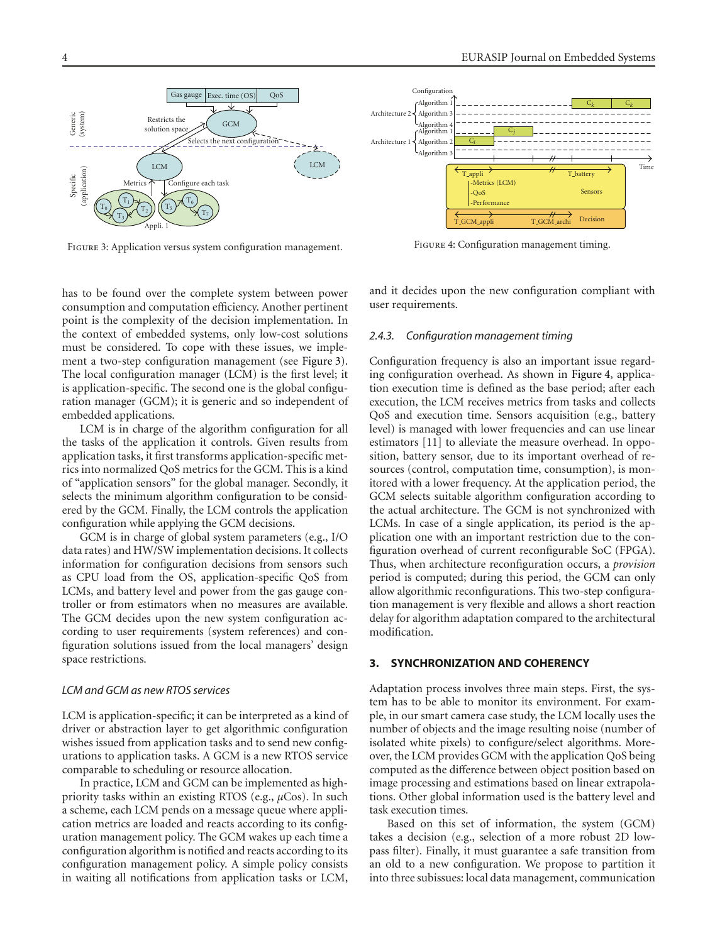

FIGURE 3: Application versus system configuration management.



FIGURE 4: Configuration management timing.

has to be found over the complete system between power consumption and computation efficiency. Another pertinent point is the complexity of the decision implementation. In the context of embedded systems, only low-cost solutions must be considered. To cope with these issues, we implement a two-step configuration management (see Figure 3). The local configuration manager (LCM) is the first level; it is application-specific. The second one is the global configuration manager (GCM); it is generic and so independent of embedded applications.

LCM is in charge of the algorithm configuration for all the tasks of the application it controls. Given results from application tasks, it first transforms application-specific metrics into normalized QoS metrics for the GCM. This is a kind of "application sensors" for the global manager. Secondly, it selects the minimum algorithm configuration to be considered by the GCM. Finally, the LCM controls the application configuration while applying the GCM decisions.

GCM is in charge of global system parameters (e.g., I/O data rates) and HW/SW implementation decisions. It collects information for configuration decisions from sensors such as CPU load from the OS, application-specific QoS from LCMs, and battery level and power from the gas gauge controller or from estimators when no measures are available. The GCM decides upon the new system configuration according to user requirements (system references) and configuration solutions issued from the local managers' design space restrictions.

#### *LCM and GCM as new RTOS services*

LCM is application-specific; it can be interpreted as a kind of driver or abstraction layer to get algorithmic configuration wishes issued from application tasks and to send new configurations to application tasks. A GCM is a new RTOS service comparable to scheduling or resource allocation.

In practice, LCM and GCM can be implemented as highpriority tasks within an existing RTOS (e.g., *μ*Cos). In such a scheme, each LCM pends on a message queue where application metrics are loaded and reacts according to its configuration management policy. The GCM wakes up each time a configuration algorithm is notified and reacts according to its configuration management policy. A simple policy consists in waiting all notifications from application tasks or LCM,

and it decides upon the new configuration compliant with user requirements.

#### *2.4.3. Configuration management timing*

Configuration frequency is also an important issue regarding configuration overhead. As shown in Figure 4, application execution time is defined as the base period; after each execution, the LCM receives metrics from tasks and collects QoS and execution time. Sensors acquisition (e.g., battery level) is managed with lower frequencies and can use linear estimators [11] to alleviate the measure overhead. In opposition, battery sensor, due to its important overhead of resources (control, computation time, consumption), is monitored with a lower frequency. At the application period, the GCM selects suitable algorithm configuration according to the actual architecture. The GCM is not synchronized with LCMs. In case of a single application, its period is the application one with an important restriction due to the configuration overhead of current reconfigurable SoC (FPGA). Thus, when architecture reconfiguration occurs, a *provision* period is computed; during this period, the GCM can only allow algorithmic reconfigurations. This two-step configuration management is very flexible and allows a short reaction delay for algorithm adaptation compared to the architectural modification.

## **3. SYNCHRONIZATION AND COHERENCY**

Adaptation process involves three main steps. First, the system has to be able to monitor its environment. For example, in our smart camera case study, the LCM locally uses the number of objects and the image resulting noise (number of isolated white pixels) to configure/select algorithms. Moreover, the LCM provides GCM with the application QoS being computed as the difference between object position based on image processing and estimations based on linear extrapolations. Other global information used is the battery level and task execution times.

Based on this set of information, the system (GCM) takes a decision (e.g., selection of a more robust 2D lowpass filter). Finally, it must guarantee a safe transition from an old to a new configuration. We propose to partition it into three subissues: local data management, communication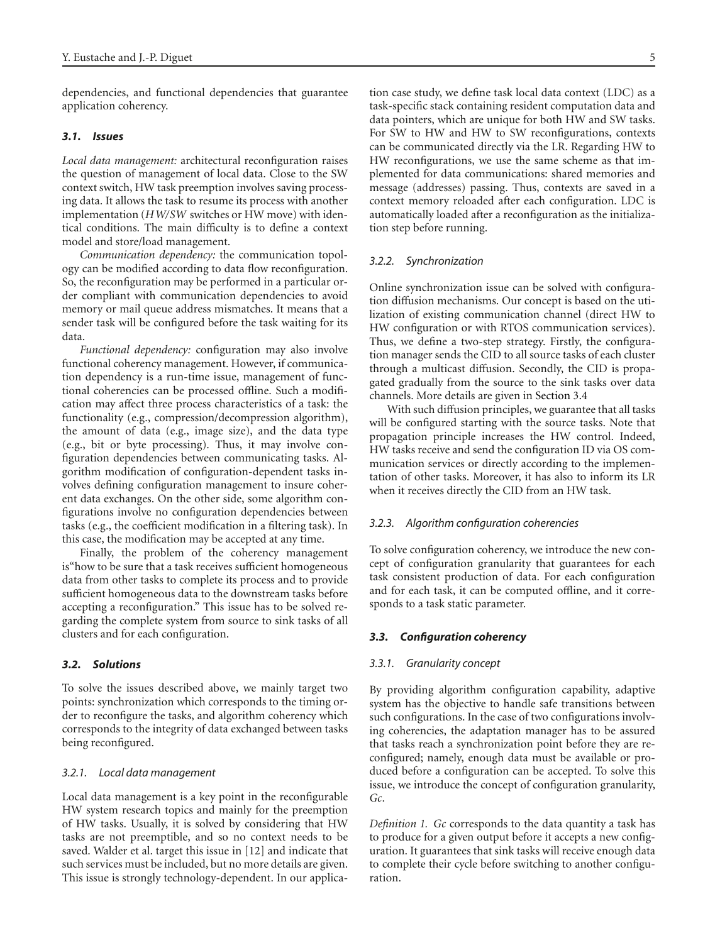dependencies, and functional dependencies that guarantee application coherency.

## *3.1. Issues*

*Local data management:* architectural reconfiguration raises the question of management of local data. Close to the SW context switch, HW task preemption involves saving processing data. It allows the task to resume its process with another implementation (*HW/SW* switches or HW move) with identical conditions. The main difficulty is to define a context model and store/load management.

*Communication dependency:* the communication topology can be modified according to data flow reconfiguration. So, the reconfiguration may be performed in a particular order compliant with communication dependencies to avoid memory or mail queue address mismatches. It means that a sender task will be configured before the task waiting for its data.

*Functional dependency:* configuration may also involve functional coherency management. However, if communication dependency is a run-time issue, management of functional coherencies can be processed offline. Such a modification may affect three process characteristics of a task: the functionality (e.g., compression/decompression algorithm), the amount of data (e.g., image size), and the data type (e.g., bit or byte processing). Thus, it may involve configuration dependencies between communicating tasks. Algorithm modification of configuration-dependent tasks involves defining configuration management to insure coherent data exchanges. On the other side, some algorithm configurations involve no configuration dependencies between tasks (e.g., the coefficient modification in a filtering task). In this case, the modification may be accepted at any time.

Finally, the problem of the coherency management is"how to be sure that a task receives sufficient homogeneous data from other tasks to complete its process and to provide sufficient homogeneous data to the downstream tasks before accepting a reconfiguration." This issue has to be solved regarding the complete system from source to sink tasks of all clusters and for each configuration.

#### *3.2. Solutions*

To solve the issues described above, we mainly target two points: synchronization which corresponds to the timing order to reconfigure the tasks, and algorithm coherency which corresponds to the integrity of data exchanged between tasks being reconfigured.

## *3.2.1. Local data management*

Local data management is a key point in the reconfigurable HW system research topics and mainly for the preemption of HW tasks. Usually, it is solved by considering that HW tasks are not preemptible, and so no context needs to be saved. Walder et al. target this issue in [12] and indicate that such services must be included, but no more details are given. This issue is strongly technology-dependent. In our application case study, we define task local data context (LDC) as a task-specific stack containing resident computation data and data pointers, which are unique for both HW and SW tasks. For SW to HW and HW to SW reconfigurations, contexts can be communicated directly via the LR. Regarding HW to HW reconfigurations, we use the same scheme as that implemented for data communications: shared memories and message (addresses) passing. Thus, contexts are saved in a context memory reloaded after each configuration. LDC is automatically loaded after a reconfiguration as the initialization step before running.

#### *3.2.2. Synchronization*

Online synchronization issue can be solved with configuration diffusion mechanisms. Our concept is based on the utilization of existing communication channel (direct HW to HW configuration or with RTOS communication services). Thus, we define a two-step strategy. Firstly, the configuration manager sends the CID to all source tasks of each cluster through a multicast diffusion. Secondly, the CID is propagated gradually from the source to the sink tasks over data channels. More details are given in Section 3.4

With such diffusion principles, we guarantee that all tasks will be configured starting with the source tasks. Note that propagation principle increases the HW control. Indeed, HW tasks receive and send the configuration ID via OS communication services or directly according to the implementation of other tasks. Moreover, it has also to inform its LR when it receives directly the CID from an HW task.

#### *3.2.3. Algorithm configuration coherencies*

To solve configuration coherency, we introduce the new concept of configuration granularity that guarantees for each task consistent production of data. For each configuration and for each task, it can be computed offline, and it corresponds to a task static parameter.

#### *3.3. Configuration coherency*

#### *3.3.1. Granularity concept*

By providing algorithm configuration capability, adaptive system has the objective to handle safe transitions between such configurations. In the case of two configurations involving coherencies, the adaptation manager has to be assured that tasks reach a synchronization point before they are reconfigured; namely, enough data must be available or produced before a configuration can be accepted. To solve this issue, we introduce the concept of configuration granularity, *Gc*.

*Definition 1. Gc* corresponds to the data quantity a task has to produce for a given output before it accepts a new configuration. It guarantees that sink tasks will receive enough data to complete their cycle before switching to another configuration.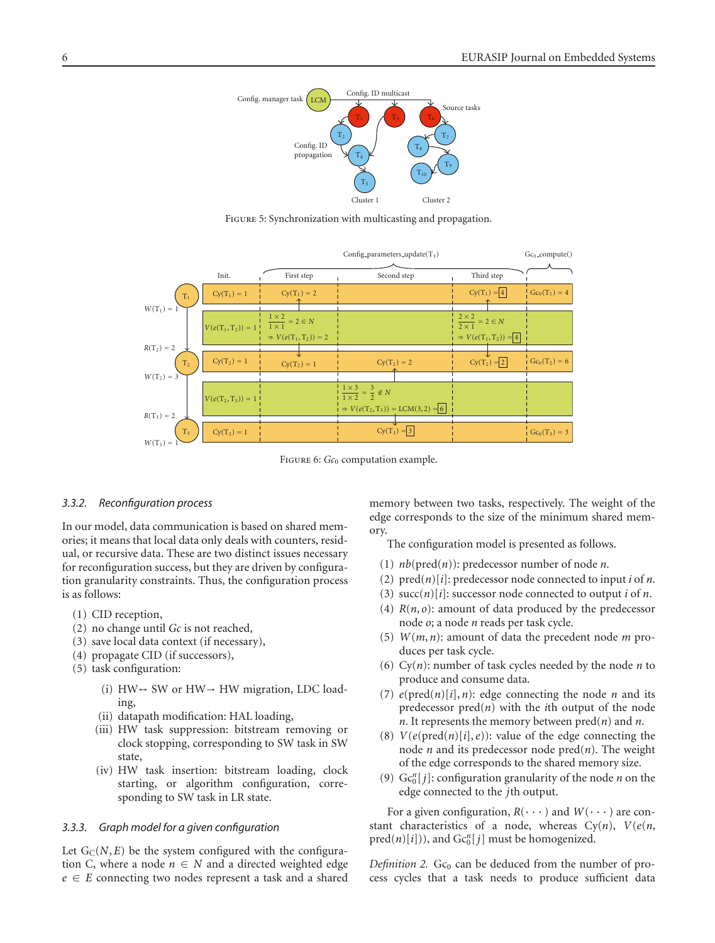

FIGURE 5: Synchronization with multicasting and propagation.



FIGURE 6: *Gc*<sup>0</sup> computation example.

#### *3.3.2. Reconfiguration process*

In our model, data communication is based on shared memories; it means that local data only deals with counters, residual, or recursive data. These are two distinct issues necessary for reconfiguration success, but they are driven by configuration granularity constraints. Thus, the configuration process is as follows:

- (1) CID reception,
- (2) no change until *Gc* is not reached,
- (3) save local data context (if necessary),
- (4) propagate CID (if successors),
- (5) task configuration:
	- (i) HW  $\leftrightarrow$  SW or HW  $\rightarrow$  HW migration, LDC loading,
	- (ii) datapath modification: HAL loading,
	- (iii) HW task suppression: bitstream removing or clock stopping, corresponding to SW task in SW state,
	- (iv) HW task insertion: bitstream loading, clock starting, or algorithm configuration, corresponding to SW task in LR state.

#### *3.3.3. Graph model for a given configuration*

Let  $G_C(N, E)$  be the system configured with the configuration C, where a node  $n \in N$  and a directed weighted edge  $e \in E$  connecting two nodes represent a task and a shared

memory between two tasks, respectively. The weight of the edge corresponds to the size of the minimum shared memory.

The configuration model is presented as follows.

- (1) *nb*(pred(*n*)): predecessor number of node *n*.
- (2) pred(*n*)[*i*]: predecessor node connected to input *i* of *n*.
- (3) succ(*n*)[*i*]: successor node connected to output *i* of *n*.
- (4)  $R(n, o)$ : amount of data produced by the predecessor node *o*; a node *n* reads per task cycle.
- (5)  $W(m, n)$ : amount of data the precedent node *m* produces per task cycle.
- (6) Cy(*n*): number of task cycles needed by the node *n* to produce and consume data.
- (7)  $e(pred(n)[i], n)$ : edge connecting the node *n* and its predecessor pred(*n*) with the *i*th output of the node *n*. It represents the memory between pred(*n*) and *n*.
- (8)  $V(e(pred(n)[i], e))$ : value of the edge connecting the node *n* and its predecessor node  $pred(n)$ . The weight of the edge corresponds to the shared memory size.
- (9)  $Gc_0^n[j]$ : configuration granularity of the node *n* on the edge connected to the *j*th output.

For a given configuration,  $R(\cdot \cdot \cdot)$  and  $W(\cdot \cdot \cdot)$  are constant characteristics of a node, whereas Cy(*n*), *V*(*e*(*n*,  $pred(n)[i]),$  and  $Gc_0^n[j]$  must be homogenized.

*Definition 2.* Gc<sub>0</sub> can be deduced from the number of process cycles that a task needs to produce sufficient data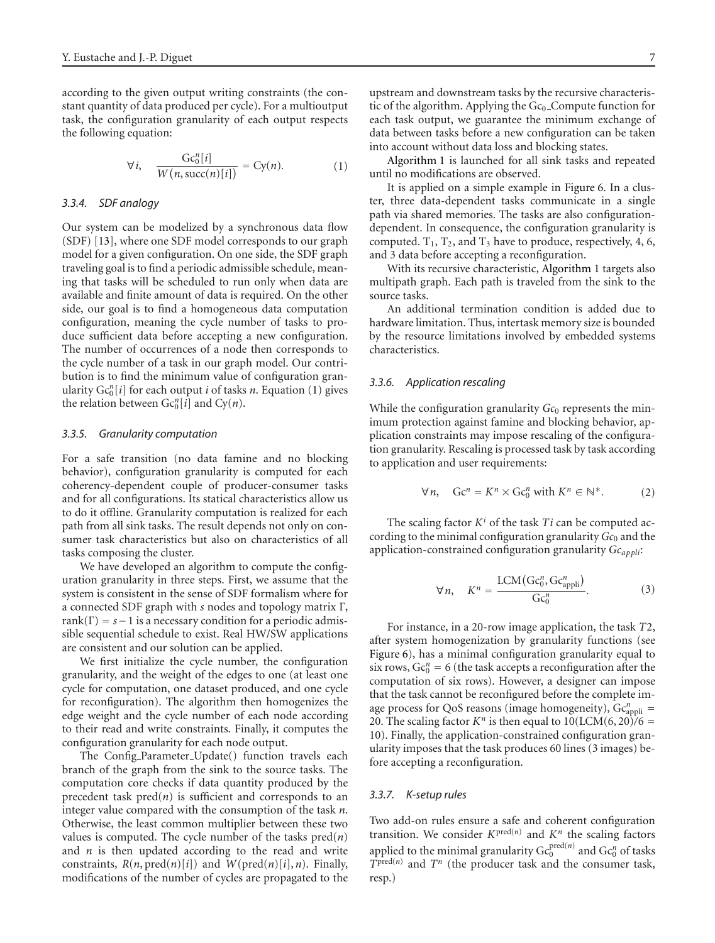according to the given output writing constraints (the constant quantity of data produced per cycle). For a multioutput task, the configuration granularity of each output respects the following equation:

$$
\forall i, \quad \frac{\text{Gc}_0^n[i]}{W(n,\text{succ}(n)[i])} = \text{Cy}(n). \tag{1}
$$

#### *3.3.4. SDF analogy*

Our system can be modelized by a synchronous data flow (SDF) [13], where one SDF model corresponds to our graph model for a given configuration. On one side, the SDF graph traveling goal is to find a periodic admissible schedule, meaning that tasks will be scheduled to run only when data are available and finite amount of data is required. On the other side, our goal is to find a homogeneous data computation configuration, meaning the cycle number of tasks to produce sufficient data before accepting a new configuration. The number of occurrences of a node then corresponds to the cycle number of a task in our graph model. Our contribution is to find the minimum value of configuration granularity  $Gc_0^n[i]$  for each output *i* of tasks *n*. Equation (1) gives the relation between  $\text{Gr}_{0}^{n}[i]$  and  $\text{Cy}(n)$ .

#### *3.3.5. Granularity computation*

For a safe transition (no data famine and no blocking behavior), configuration granularity is computed for each coherency-dependent couple of producer-consumer tasks and for all configurations. Its statical characteristics allow us to do it offline. Granularity computation is realized for each path from all sink tasks. The result depends not only on consumer task characteristics but also on characteristics of all tasks composing the cluster.

We have developed an algorithm to compute the configuration granularity in three steps. First, we assume that the system is consistent in the sense of SDF formalism where for a connected SDF graph with *s* nodes and topology matrix Γ, rank( $\Gamma$ ) =  $s-1$  is a necessary condition for a periodic admissible sequential schedule to exist. Real HW/SW applications are consistent and our solution can be applied.

We first initialize the cycle number, the configuration granularity, and the weight of the edges to one (at least one cycle for computation, one dataset produced, and one cycle for reconfiguration). The algorithm then homogenizes the edge weight and the cycle number of each node according to their read and write constraints. Finally, it computes the configuration granularity for each node output.

The Config Parameter Update() function travels each branch of the graph from the sink to the source tasks. The computation core checks if data quantity produced by the precedent task  $pred(n)$  is sufficient and corresponds to an integer value compared with the consumption of the task *n*. Otherwise, the least common multiplier between these two values is computed. The cycle number of the tasks pred(*n*) and *n* is then updated according to the read and write constraints,  $R(n, \text{pred}(n)[i])$  and  $W(\text{pred}(n)[i], n)$ . Finally, modifications of the number of cycles are propagated to the

upstream and downstream tasks by the recursive characteristic of the algorithm. Applying the  $\text{Gc}_{0}$ -Compute function for each task output, we guarantee the minimum exchange of data between tasks before a new configuration can be taken into account without data loss and blocking states.

Algorithm 1 is launched for all sink tasks and repeated until no modifications are observed.

It is applied on a simple example in Figure 6. In a cluster, three data-dependent tasks communicate in a single path via shared memories. The tasks are also configurationdependent. In consequence, the configuration granularity is computed.  $T_1$ ,  $T_2$ , and  $T_3$  have to produce, respectively, 4, 6, and 3 data before accepting a reconfiguration.

With its recursive characteristic, Algorithm 1 targets also multipath graph. Each path is traveled from the sink to the source tasks.

An additional termination condition is added due to hardware limitation. Thus, intertask memory size is bounded by the resource limitations involved by embedded systems characteristics.

#### *3.3.6. Application rescaling*

While the configuration granularity *Gc*<sup>0</sup> represents the minimum protection against famine and blocking behavior, application constraints may impose rescaling of the configuration granularity. Rescaling is processed task by task according to application and user requirements:

$$
\forall n, \quad \mathbf{G}\mathbf{c}^n = K^n \times \mathbf{G}\mathbf{c}_0^n \text{ with } K^n \in \mathbb{N}^*.
$$
 (2)

The scaling factor  $K^i$  of the task  $Ti$  can be computed according to the minimal configuration granularity *Gc*<sub>0</sub> and the application-constrained configuration granularity *Gcappli*:

$$
\forall n, \quad K^n = \frac{\text{LCM}(\text{Gc}_0^n, \text{Gc}_{\text{appli}}^n)}{\text{Gc}_0^n}.
$$
 (3)

For instance, in a 20-row image application, the task *T*2, after system homogenization by granularity functions (see Figure 6), has a minimal configuration granularity equal to six rows,  $Gc_0^n = 6$  (the task accepts a reconfiguration after the computation of six rows). However, a designer can impose that the task cannot be reconfigured before the complete image process for QoS reasons (image homogeneity), Gc<sup>n</sup><sub>appli</sub> = 20. The scaling factor  $K^n$  is then equal to  $10(LCM(6, 20))/6 =$ 10). Finally, the application-constrained configuration granularity imposes that the task produces 60 lines (3 images) before accepting a reconfiguration.

#### *3.3.7. K-setup rules*

Two add-on rules ensure a safe and coherent configuration transition. We consider  $K^{pred(n)}$  and  $K^n$  the scaling factors applied to the minimal granularity  $\mathsf{Gc}_0^{\text{pred}(n)}$  and  $\mathsf{Gc}_0^n$  of tasks *T*pred(*n*) and *T<sup>n</sup>* (the producer task and the consumer task, resp.)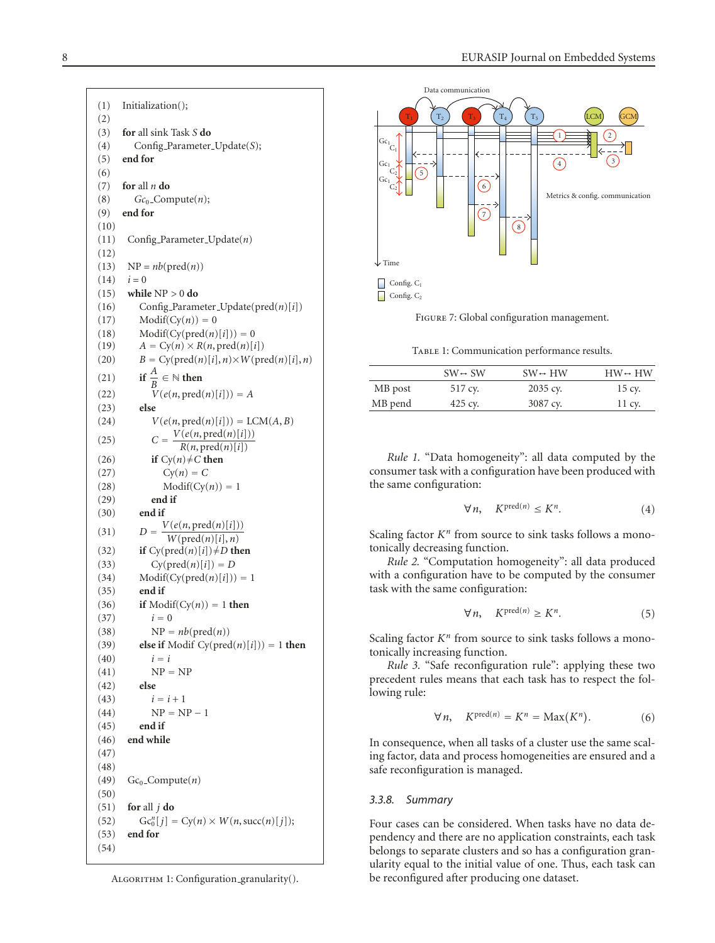| (1)          | Initialization();                                                                        |
|--------------|------------------------------------------------------------------------------------------|
| (2)          |                                                                                          |
| (3)          | <b>for</b> all sink Task S <b>do</b>                                                     |
| (4)          | $Config\_Parameter\_Update(S);$                                                          |
| (5)          | end for                                                                                  |
| (6)          |                                                                                          |
| (7)          | for all $n$ do                                                                           |
| (8)          | $Gc_0$ -Compute $(n)$ ;                                                                  |
| (9)          | end for                                                                                  |
| (10)         |                                                                                          |
| (11)         | Config_Parameter_Update $(n)$                                                            |
| (12)         |                                                                                          |
| (13)         | $NP = nb(pred(n))$                                                                       |
| (14)         | $i=0$                                                                                    |
| (15)         | while $NP > 0$ do                                                                        |
| (16)         | Config_Parameter_Update( $\text{pred}(n)[i])$                                            |
| (17)         | $\text{Modif}(\text{Cy}(n)) = 0$                                                         |
| (18)         | $\text{Modif}(\text{Cy}(\text{pred}(n)[i])) = 0$                                         |
| (19)         | $A = Cy(n) \times R(n, pred(n)[i])$                                                      |
| (20)         | $B = Cy(pred(n)[i], n) \times W(pred(n)[i], n)$                                          |
|              |                                                                                          |
| (21)         | if $\frac{A}{R} \in \mathbb{N}$ then                                                     |
| (22)         | $V(e(n, pred(n)[i])) = A$                                                                |
| (23)         | else                                                                                     |
| (24)         | $V(e(n, pred(n)[i])) = LCM(A, B)$                                                        |
| (25)         | $C = \frac{V(e(n, \text{pred}(n)[i]))}{R(n, \text{pred}(n)[i])}$                         |
|              |                                                                                          |
| (26)         | if $Cy(n)\neq C$ then                                                                    |
| (27)         | $Cy(n) = C$                                                                              |
| (28)         | $\text{Modif}(\text{Cy}(n)) = 1$<br>end if                                               |
| (29)<br>(30) | end if                                                                                   |
|              |                                                                                          |
| (31)         | $D = \frac{V(e(n, \text{pred}(n)[i]))}{W(\text{pred}(n)[i], n)}$                         |
| (32)         | if $Cy(pred(n)[i]) \neq D$ then                                                          |
| (33)         | $Cy(pred(n)[i]) = D$                                                                     |
| (34)         | $\text{Modif}(\text{Cy}(\text{pred}(n)[i])) = 1$                                         |
| (35)         | end if                                                                                   |
| (36)         | if $\text{Modif}(\text{Cy}(n)) = 1$ then                                                 |
| (37)         | $i=0$                                                                                    |
| (38)         | $NP = nb(pred(n))$                                                                       |
| (39)         | else if Modif $Cy(pred(n)[i]) = 1$ then                                                  |
| (40)         | $i = i$                                                                                  |
| (41)         | $NP = NP$                                                                                |
| (42)         | else                                                                                     |
| (43)         | $i = i + 1$                                                                              |
| (44)         | $NP = NP - 1$                                                                            |
| (45)         | end if                                                                                   |
| (46)         | end while                                                                                |
| (47)         |                                                                                          |
| (48)         |                                                                                          |
| (49)         | $Gc_0$ _Compute $(n)$                                                                    |
| (50)         |                                                                                          |
| (51)         | for all $j$ do                                                                           |
| (52)         | $\operatorname{Gc}_0^n[j] = \operatorname{Cy}(n) \times W(n,\operatorname{succ}(n)[j]);$ |
| (53)         | end for                                                                                  |
| (54)         |                                                                                          |





TABLE 1: Communication performance results.

|         | $SW \rightarrow SW$ | $SW \leftrightarrow HW$ | $HW \leftrightarrow HW$ |
|---------|---------------------|-------------------------|-------------------------|
| MB post | 517 cy.             | 2035 су.                | 15 cy.                  |
| MB pend | 425 cy.             | 3087 cy.                | 11 cy.                  |

*Rule 1.* "Data homogeneity": all data computed by the consumer task with a configuration have been produced with the same configuration:

$$
\forall n, \quad K^{\text{pred}(n)} \le K^n. \tag{4}
$$

Scaling factor  $K<sup>n</sup>$  from source to sink tasks follows a monotonically decreasing function.

*Rule 2.* "Computation homogeneity": all data produced with a configuration have to be computed by the consumer task with the same configuration:

$$
\forall n, \quad K^{\text{pred}(n)} \ge K^n. \tag{5}
$$

Scaling factor  $K^n$  from source to sink tasks follows a monotonically increasing function.

*Rule 3.* "Safe reconfiguration rule": applying these two precedent rules means that each task has to respect the following rule:

$$
\forall n, \quad K^{\text{pred}(n)} = K^n = \text{Max}(K^n). \tag{6}
$$

In consequence, when all tasks of a cluster use the same scaling factor, data and process homogeneities are ensured and a safe reconfiguration is managed.

#### *3.3.8. Summary*

Four cases can be considered. When tasks have no data dependency and there are no application constraints, each task belongs to separate clusters and so has a configuration granularity equal to the initial value of one. Thus, each task can be reconfigured after producing one dataset.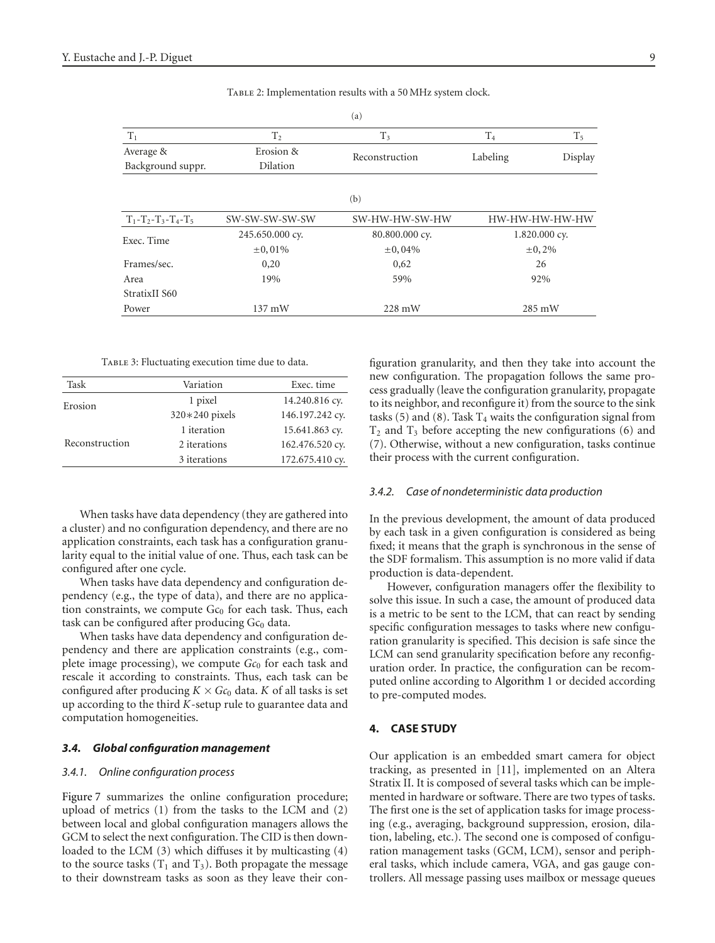| $T_1$                         | T <sub>2</sub>   | $T_3$          | T <sub>4</sub>   | $T_5$          |
|-------------------------------|------------------|----------------|------------------|----------------|
| Erosion &<br>Average &        |                  | Reconstruction | Labeling         | Display        |
| Background suppr.             | Dilation         |                |                  |                |
|                               |                  | (b)            |                  |                |
| $T_1 - T_2 - T_3 - T_4 - T_5$ | SW-SW-SW-SW-SW   | SW-HW-HW-SW-HW |                  | HW-HW-HW-HW-HW |
| Exec. Time                    | 245.650.000 cy.  | 80.800.000 су. | 1.820.000 cy.    |                |
|                               | $\pm 0.01\%$     | $\pm 0.04\%$   | $\pm 0, 2\%$     |                |
| Frames/sec.                   | 0,20             | 0,62           | 26               |                |
| Area                          | 19%              | 59%            |                  | 92%            |
| StratixII S60                 |                  |                |                  |                |
| Power                         | $137 \text{ mW}$ | $228$ mW       | $285 \text{ mW}$ |                |

#### Table 2: Implementation results with a 50 MHz system clock.

(a)

TABLE 3: Fluctuating execution time due to data.

| Task           | Variation      | Exec. time      |
|----------------|----------------|-----------------|
| Erosion        | 1 pixel        | 14.240.816 cy.  |
|                | 320*240 pixels | 146.197.242 cy. |
|                | 1 iteration    | 15.641.863 cy.  |
| Reconstruction | 2 iterations   | 162.476.520 cy. |
|                | 3 iterations   | 172.675.410 cy. |

When tasks have data dependency (they are gathered into a cluster) and no configuration dependency, and there are no application constraints, each task has a configuration granularity equal to the initial value of one. Thus, each task can be configured after one cycle.

When tasks have data dependency and configuration dependency (e.g., the type of data), and there are no application constraints, we compute  $Gc_0$  for each task. Thus, each task can be configured after producing  $Gc_0$  data.

When tasks have data dependency and configuration dependency and there are application constraints (e.g., complete image processing), we compute *Gc*<sup>0</sup> for each task and rescale it according to constraints. Thus, each task can be configured after producing  $K \times Gc_0$  data. *K* of all tasks is set up according to the third *K*-setup rule to guarantee data and computation homogeneities.

## *3.4. Global configuration management*

#### *3.4.1. Online configuration process*

Figure 7 summarizes the online configuration procedure; upload of metrics (1) from the tasks to the LCM and (2) between local and global configuration managers allows the GCM to select the next configuration. The CID is then downloaded to the LCM (3) which diffuses it by multicasting (4) to the source tasks  $(T_1 \text{ and } T_3)$ . Both propagate the message to their downstream tasks as soon as they leave their configuration granularity, and then they take into account the new configuration. The propagation follows the same process gradually (leave the configuration granularity, propagate to its neighbor, and reconfigure it) from the source to the sink tasks (5) and (8). Task  $T_4$  waits the configuration signal from  $T_2$  and  $T_3$  before accepting the new configurations (6) and (7). Otherwise, without a new configuration, tasks continue their process with the current configuration.

#### *3.4.2. Case of nondeterministic data production*

In the previous development, the amount of data produced by each task in a given configuration is considered as being fixed; it means that the graph is synchronous in the sense of the SDF formalism. This assumption is no more valid if data production is data-dependent.

However, configuration managers offer the flexibility to solve this issue. In such a case, the amount of produced data is a metric to be sent to the LCM, that can react by sending specific configuration messages to tasks where new configuration granularity is specified. This decision is safe since the LCM can send granularity specification before any reconfiguration order. In practice, the configuration can be recomputed online according to Algorithm 1 or decided according to pre-computed modes.

#### **4. CASE STUDY**

Our application is an embedded smart camera for object tracking, as presented in [11], implemented on an Altera Stratix II. It is composed of several tasks which can be implemented in hardware or software. There are two types of tasks. The first one is the set of application tasks for image processing (e.g., averaging, background suppression, erosion, dilation, labeling, etc.). The second one is composed of configuration management tasks (GCM, LCM), sensor and peripheral tasks, which include camera, VGA, and gas gauge controllers. All message passing uses mailbox or message queues